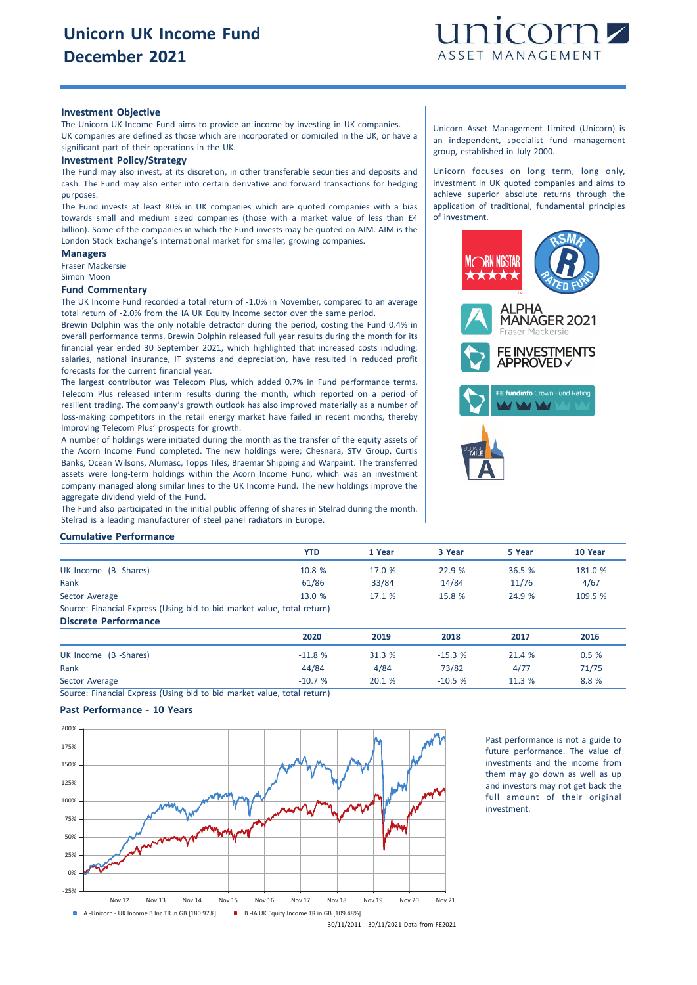

# **Investment Objective**

The Unicorn UK Income Fund aims to provide an income by investing in UK companies. UK companies are defined as those which are incorporated or domiciled in the UK, or have a significant part of their operations in the UK.

#### **Investment Policy/Strategy**

The Fund may also invest, at its discretion, in other transferable securities and deposits and cash. The Fund may also enter into certain derivative and forward transactions for hedging purposes.

The Fund invests at least 80% in UK companies which are quoted companies with a bias towards small and medium sized companies (those with a market value of less than £4 billion). Some of the companies in which the Fund invests may be quoted on AIM. AIM is the London Stock Exchange's international market for smaller, growing companies.

# **Managers**

Fraser Mackersie Simon Moon

### **Fund Commentary**

The UK Income Fund recorded a total return of -1.0% in November, compared to an average total return of -2.0% from the IA UK Equity Income sector over the same period.

Brewin Dolphin was the only notable detractor during the period, costing the Fund 0.4% in overall performance terms. Brewin Dolphin released full year results during the month for its financial year ended 30 September 2021, which highlighted that increased costs including; salaries, national insurance, IT systems and depreciation, have resulted in reduced profit forecasts for the current financial year.

The largest contributor was Telecom Plus, which added 0.7% in Fund performance terms. Telecom Plus released interim results during the month, which reported on a period of resilient trading. The company's growth outlook has also improved materially as a number of loss-making competitors in the retail energy market have failed in recent months, thereby improving Telecom Plus' prospects for growth.

A number of holdings were initiated during the month as the transfer of the equity assets of the Acorn Income Fund completed. The new holdings were; Chesnara, STV Group, Curtis Banks, Ocean Wilsons, Alumasc, Topps Tiles, Braemar Shipping and Warpaint. The transferred assets were long-term holdings within the Acorn Income Fund, which was an investment company managed along similar lines to the UK Income Fund. The new holdings improve the aggregate dividend yield of the Fund.

The Fund also participated in the initial public offering of shares in Stelrad during the month. Stelrad is a leading manufacturer of steel panel radiators in Europe.

Unicorn Asset Management Limited (Unicorn) is an independent, specialist fund management group, established in July 2000.

Unicorn focuses on long term, long only, investment in UK quoted companies and aims to achieve superior absolute returns through the application of traditional, fundamental principles of investment.



#### **Cumulative Performance**

|                                                                         | <b>YTD</b> | 1 Year | 3 Year | 5 Year | 10 Year |
|-------------------------------------------------------------------------|------------|--------|--------|--------|---------|
| UK Income (B -Shares)                                                   | 10.8%      | 17.0%  | 22.9%  | 36.5%  | 181.0 % |
| Rank                                                                    | 61/86      | 33/84  | 14/84  | 11/76  | 4/67    |
| Sector Average                                                          | 13.0%      | 17.1%  | 15.8 % | 24.9 % | 109.5 % |
| Source: Financial Express (Using bid to bid market value, total return) |            |        |        |        |         |

# **Discrete Performance 2020 2019 2018 2017 2016** UK Income (B -Shares) 0.5 % 21.4 % 31.3 % 31.3 % 31.3 % 31.3 % 21.4 % 0.5 % Rank 44/84 4/84 73/82 4/77 71/75 Sector Average -10.7 % 20.1 % -10.5 % 11.3 % 8.8 %

Source: Financial Express (Using bid to bid market value, total return)

# **Past Performance - 10 Years**



Past performance is not a guide to future performance. The value of investments and the income from them may go down as well as up and investors may not get back the full amount of their original investment.